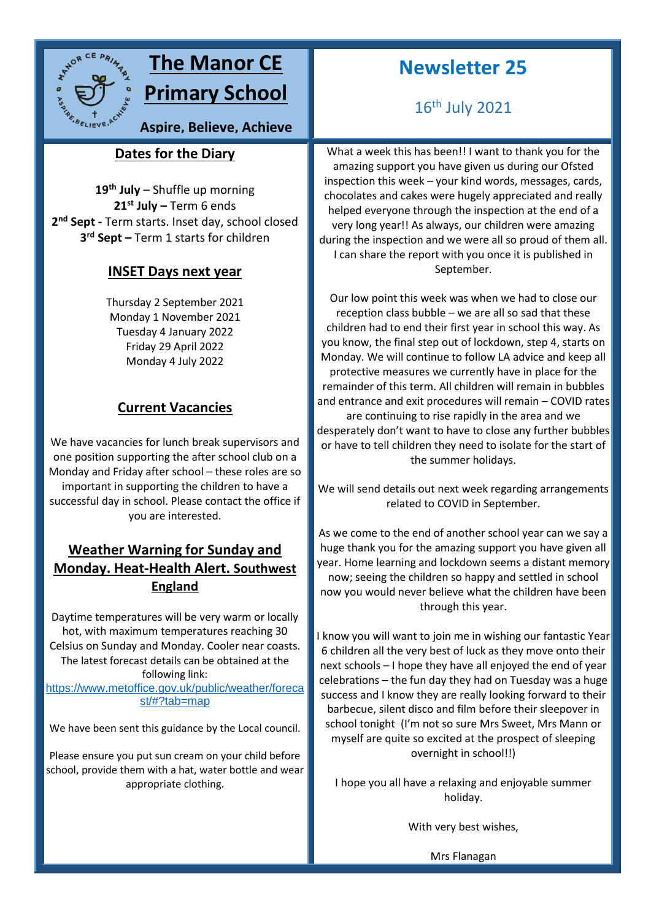

# **The Manor CE Primary School**

**Aspire, Believe, Achieve**

## **Dates for the Diary sky**

**th July** – Shuffle up morning **st July –** Term 6 ends **nd Sept -** Term starts. Inset day, school closed **rd Sept –** Term 1 starts for children

## **INSET Days next year**

Thursday 2 September 2021 Monday 1 November 2021 Tuesday 4 January 2022 Friday 29 April 2022 Monday 4 July 2022

# **Current Vacancies**

We have vacancies for lunch break supervisors and one position supporting the after school club on a Monday and Friday after school – these roles are so important in supporting the children to have a successful day in school. Please contact the office if you are interested.

## **Weather Warning for Sunday and Monday. Heat-Health Alert. Southwest England**

Daytime temperatures will be very warm or locally hot, with maximum temperatures reaching 30 Celsius on Sunday and Monday. Cooler near coasts. The latest forecast details can be obtained at the following link:

[https://www.metoffice.gov.uk/public/weather/foreca](https://lnks.gd/l/eyJhbGciOiJIUzI1NiJ9.eyJidWxsZXRpbl9saW5rX2lkIjoxMDEsInVyaSI6ImJwMjpjbGljayIsImJ1bGxldGluX2lkIjoiMjAyMTA3MTUuNDMyMjg0NTEiLCJ1cmwiOiJodHRwczovL3d3dy5tZXRvZmZpY2UuZ292LnVrL3B1YmxpYy93ZWF0aGVyL2ZvcmVjYXN0LyM_dGFiPW1hcCJ9.kRZO570rVrSmvIiK2QgZPmMkb-FbcWlGt7OzX5O4G7w/s/1524201237/br/109343039826-l) [st/#?tab=map](https://lnks.gd/l/eyJhbGciOiJIUzI1NiJ9.eyJidWxsZXRpbl9saW5rX2lkIjoxMDEsInVyaSI6ImJwMjpjbGljayIsImJ1bGxldGluX2lkIjoiMjAyMTA3MTUuNDMyMjg0NTEiLCJ1cmwiOiJodHRwczovL3d3dy5tZXRvZmZpY2UuZ292LnVrL3B1YmxpYy93ZWF0aGVyL2ZvcmVjYXN0LyM_dGFiPW1hcCJ9.kRZO570rVrSmvIiK2QgZPmMkb-FbcWlGt7OzX5O4G7w/s/1524201237/br/109343039826-l)

We have been sent this guidance by the Local council.

Please ensure you put sun cream on your child before school, provide them with a hat, water bottle and wear appropriate clothing.

# **Newsletter 25**

16th July 2021

What a week this has been!! I want to thank you for the amazing support you have given us during our Ofsted inspection this week – your kind words, messages, cards, chocolates and cakes were hugely appreciated and really helped everyone through the inspection at the end of a very long year!! As always, our children were amazing during the inspection and we were all so proud of them all. I can share the report with you once it is published in September.

Our low point this week was when we had to close our reception class bubble – we are all so sad that these children had to end their first year in school this way. As you know, the final step out of lockdown, step 4, starts on Monday. We will continue to follow LA advice and keep all protective measures we currently have in place for the remainder of this term. All children will remain in bubbles and entrance and exit procedures will remain – COVID rates

are continuing to rise rapidly in the area and we desperately don't want to have to close any further bubbles or have to tell children they need to isolate for the start of the summer holidays.

We will send details out next week regarding arrangements related to COVID in September.

As we come to the end of another school year can we say a huge thank you for the amazing support you have given all year. Home learning and lockdown seems a distant memory now; seeing the children so happy and settled in school now you would never believe what the children have been through this year.

I know you will want to join me in wishing our fantastic Year 6 children all the very best of luck as they move onto their next schools – I hope they have all enjoyed the end of year celebrations – the fun day they had on Tuesday was a huge success and I know they are really looking forward to their barbecue, silent disco and film before their sleepover in school tonight (I'm not so sure Mrs Sweet, Mrs Mann or myself are quite so excited at the prospect of sleeping overnight in school!!)

I hope you all have a relaxing and enjoyable summer holiday.

With very best wishes,

Mrs Flanagan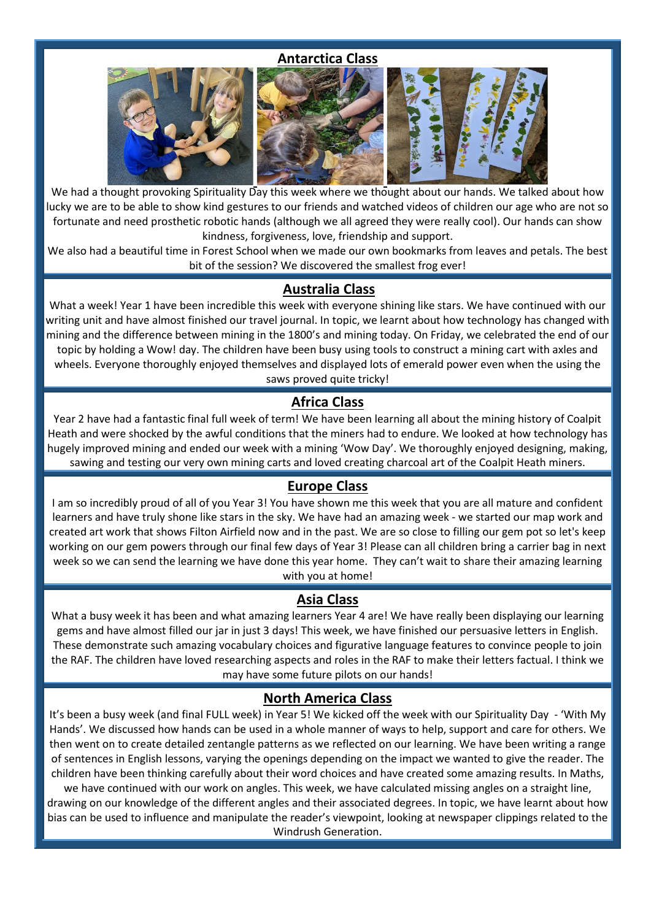#### **Antarctica Class**



We had a thought provoking Spirituality Day this week where we thought about our hands. We talked about how lucky we are to be able to show kind gestures to our friends and watched videos of children our age who are not so fortunate and need prosthetic robotic hands (although we all agreed they were really cool). Our hands can show kindness, forgiveness, love, friendship and support.

We also had a beautiful time in Forest School when we made our own bookmarks from leaves and petals. The best bit of the session? We discovered the smallest frog ever!

#### **Australia Class**

What a week! Year 1 have been incredible this week with everyone shining like stars. We have continued with our writing unit and have almost finished our travel journal. In topic, we learnt about how technology has changed with mining and the difference between mining in the 1800's and mining today. On Friday, we celebrated the end of our topic by holding a Wow! day. The children have been busy using tools to construct a mining cart with axles and wheels. Everyone thoroughly enjoyed themselves and displayed lots of emerald power even when the using the saws proved quite tricky!

## **Africa Class**

Year 2 have had a fantastic final full week of term! We have been learning all about the mining history of Coalpit Heath and were shocked by the awful conditions that the miners had to endure. We looked at how technology has hugely improved mining and ended our week with a mining 'Wow Day'. We thoroughly enjoyed designing, making, sawing and testing our very own mining carts and loved creating charcoal art of the Coalpit Heath miners.

### **Europe Class**

I am so incredibly proud of all of you Year 3! You have shown me this week that you are all mature and confident learners and have truly shone like stars in the sky. We have had an amazing week - we started our map work and created art work that shows Filton Airfield now and in the past. We are so close to filling our gem pot so let's keep working on our gem powers through our final few days of Year 3! Please can all children bring a carrier bag in next week so we can send the learning we have done this year home. They can't wait to share their amazing learning with you at home!

## **Asia Class**

What a busy week it has been and what amazing learners Year 4 are! We have really been displaying our learning gems and have almost filled our jar in just 3 days! This week, we have finished our persuasive letters in English. These demonstrate such amazing vocabulary choices and figurative language features to convince people to join the RAF. The children have loved researching aspects and roles in the RAF to make their letters factual. I think we may have some future pilots on our hands!

### **North America Class**

It's been a busy week (and final FULL week) in Year 5! We kicked off the week with our Spirituality Day - 'With My Hands'. We discussed how hands can be used in a whole manner of ways to help, support and care for others. We then went on to create detailed zentangle patterns as we reflected on our learning. We have been writing a range of sentences in English lessons, varying the openings depending on the impact we wanted to give the reader. The children have been thinking carefully about their word choices and have created some amazing results. In Maths,

we have continued with our work on angles. This week, we have calculated missing angles on a straight line, drawing on our knowledge of the different angles and their associated degrees. In topic, we have learnt about how bias can be used to influence and manipulate the reader's viewpoint, looking at newspaper clippings related to the Windrush Generation.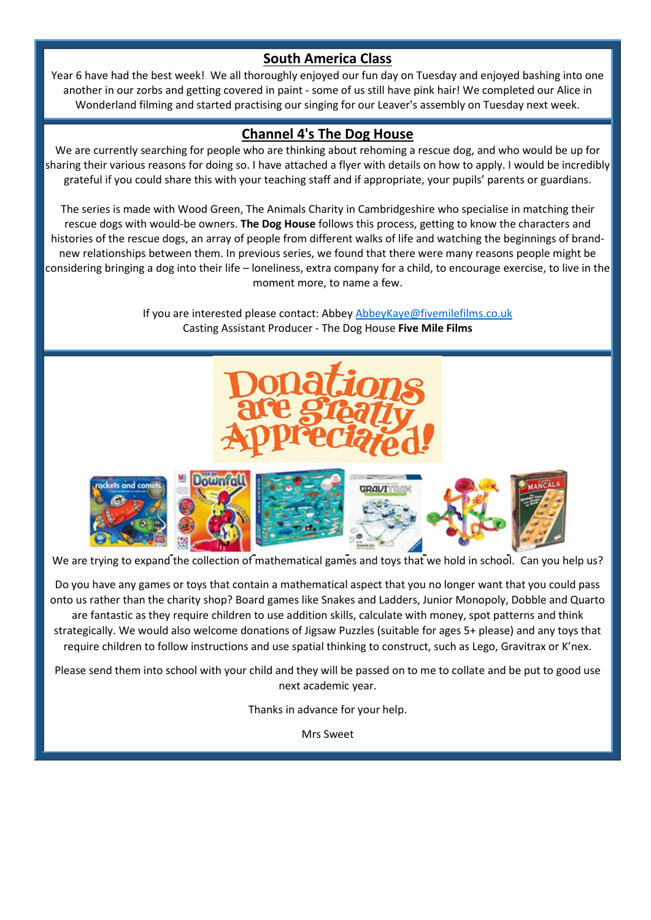## **South America Class**

Year 6 have had the best week! We all thoroughly enjoyed our fun day on Tuesday and enjoyed bashing into one another in our zorbs and getting covered in paint - some of us still have pink hair! We completed our Alice in Wonderland filming and started practising our singing for our Leaver's assembly on Tuesday next week.

## **Channel 4's The Dog House**

We are currently searching for people who are thinking about rehoming a rescue dog, and who would be up for sharing their various reasons for doing so. I have attached a flyer with details on how to apply. I would be incredibly grateful if you could share this with your teaching staff and if appropriate, your pupils' parents or guardians.

The series is made with Wood Green, The Animals Charity in Cambridgeshire who specialise in matching their rescue dogs with would-be owners. **The Dog House** follows this process, getting to know the characters and histories of the rescue dogs, an array of people from different walks of life and watching the beginnings of brandnew relationships between them. In previous series, we found that there were many reasons people might be considering bringing a dog into their life – loneliness, extra company for a child, to encourage exercise, to live in the moment more, to name a few.

> If you are interested please contact: Abbey [AbbeyKaye@fivemilefilms.co.uk](mailto:AbbeyKaye@fivemilefilms.co.uk) Casting Assistant Producer - The Dog House **Five Mile Films**





We are trying to expand the collection of mathematical games and toys that we hold in school. Can you help us?

Do you have any games or toys that contain a mathematical aspect that you no longer want that you could pass onto us rather than the charity shop? Board games like Snakes and Ladders, Junior Monopoly, Dobble and Quarto are fantastic as they require children to use addition skills, calculate with money, spot patterns and think strategically. We would also welcome donations of Jigsaw Puzzles (suitable for ages 5+ please) and any toys that require children to follow instructions and use spatial thinking to construct, such as Lego, Gravitrax or K'nex.

Please send them into school with your child and they will be passed on to me to collate and be put to good use next academic year.

Thanks in advance for your help.

Mrs Sweet